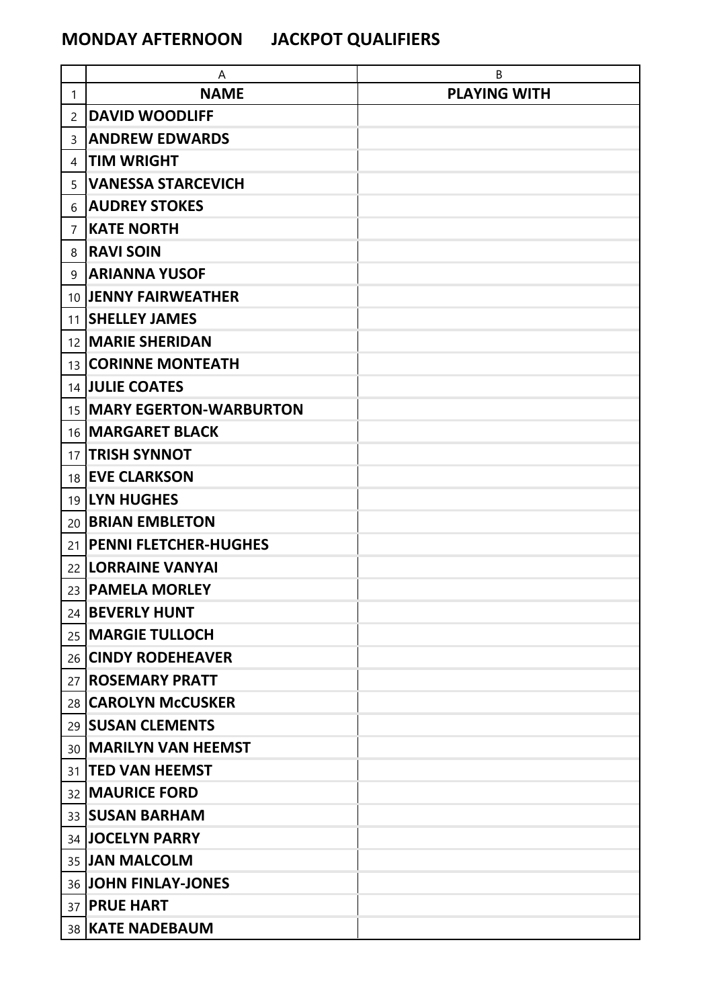## **MONDAY AFTERNOON JACKPOT QUALIFIERS**

|    | Α                            | B                   |
|----|------------------------------|---------------------|
| 1  | <b>NAME</b>                  | <b>PLAYING WITH</b> |
| 2  | <b>DAVID WOODLIFF</b>        |                     |
| 3  | <b>ANDREW EDWARDS</b>        |                     |
| 4  | <b>TIM WRIGHT</b>            |                     |
| 5  | <b>VANESSA STARCEVICH</b>    |                     |
| 6  | <b>AUDREY STOKES</b>         |                     |
| 7  | <b>KATE NORTH</b>            |                     |
| 8  | <b>RAVI SOIN</b>             |                     |
| 9  | <b>ARIANNA YUSOF</b>         |                     |
|    | 10 JENNY FAIRWEATHER         |                     |
| 11 | <b>SHELLEY JAMES</b>         |                     |
|    | 12 <b>MARIE SHERIDAN</b>     |                     |
|    | 13 CORINNE MONTEATH          |                     |
|    | 14 JULIE COATES              |                     |
|    | 15   MARY EGERTON-WARBURTON  |                     |
|    | 16   MARGARET BLACK          |                     |
| 17 | <b>TRISH SYNNOT</b>          |                     |
| 18 | <b>EVE CLARKSON</b>          |                     |
|    | 19 LYN HUGHES                |                     |
| 20 | <b>BRIAN EMBLETON</b>        |                     |
| 21 | <b>PENNI FLETCHER-HUGHES</b> |                     |
|    | 22   LORRAINE VANYAI         |                     |
| 23 | <b>PAMELA MORLEY</b>         |                     |
|    | 24 BEVERLY HUNT              |                     |
|    | 25   MARGIE TULLOCH          |                     |
|    | 26 CINDY RODEHEAVER          |                     |
|    | 27   ROSEMARY PRATT          |                     |
|    | 28 CAROLYN McCUSKER          |                     |
|    | 29   SUSAN CLEMENTS          |                     |
| 30 | <b>MARILYN VAN HEEMST</b>    |                     |
| 31 | <b>TED VAN HEEMST</b>        |                     |
|    | 32   MAURICE FORD            |                     |
| 33 | <b>SUSAN BARHAM</b>          |                     |
|    | 34 JOCELYN PARRY             |                     |
|    | 35 JAN MALCOLM               |                     |
|    | 36 JOHN FINLAY-JONES         |                     |
|    | 37 <b>PRUE HART</b>          |                     |
|    | 38 KATE NADEBAUM             |                     |